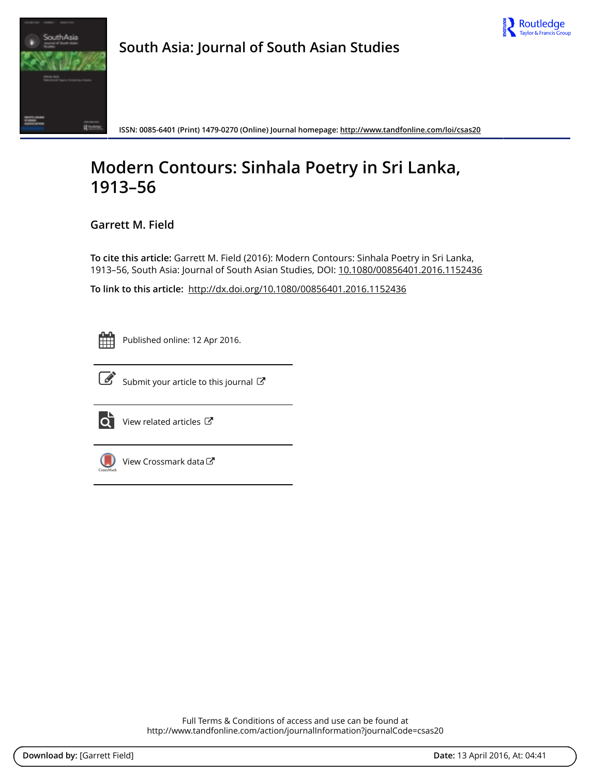



**South Asia: Journal of South Asian Studies**

**ISSN: 0085-6401 (Print) 1479-0270 (Online) Journal homepage:<http://www.tandfonline.com/loi/csas20>**

# **Modern Contours: Sinhala Poetry in Sri Lanka, 1913–56**

**Garrett M. Field**

**To cite this article:** Garrett M. Field (2016): Modern Contours: Sinhala Poetry in Sri Lanka, 1913–56, South Asia: Journal of South Asian Studies, DOI: [10.1080/00856401.2016.1152436](http://www.tandfonline.com/action/showCitFormats?doi=10.1080/00856401.2016.1152436)

**To link to this article:** <http://dx.doi.org/10.1080/00856401.2016.1152436>



Published online: 12 Apr 2016.



 $\overrightarrow{S}$  [Submit your article to this journal](http://www.tandfonline.com/action/authorSubmission?journalCode=csas20&page=instructions)  $\overrightarrow{S}$ 



 $\overrightarrow{Q}$  [View related articles](http://www.tandfonline.com/doi/mlt/10.1080/00856401.2016.1152436)  $\overrightarrow{C}$ 



[View Crossmark data](http://crossmark.crossref.org/dialog/?doi=10.1080/00856401.2016.1152436&domain=pdf&date_stamp=2016-04-12)

Full Terms & Conditions of access and use can be found at <http://www.tandfonline.com/action/journalInformation?journalCode=csas20>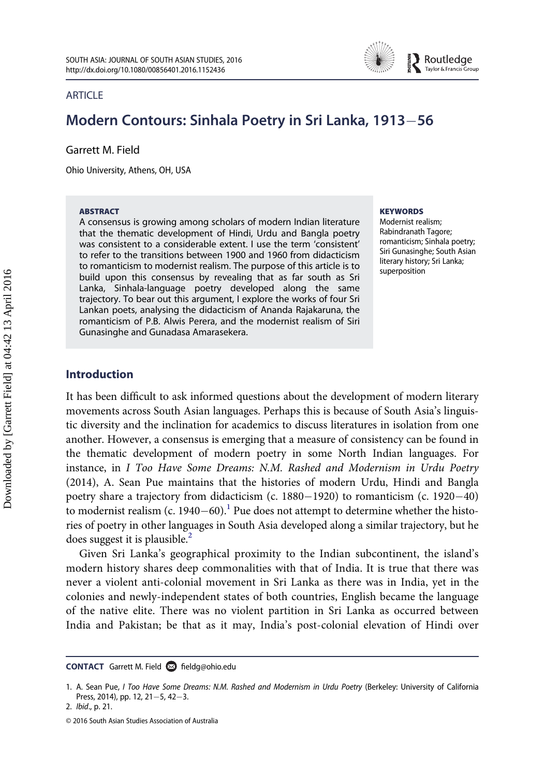

#### **ARTICLE**

# Modern Contours: Sinhala Poetry in Sri Lanka, 1913–56

Garrett M. Field

Ohio University, Athens, OH, USA

#### ABSTRACT

A consensus is growing among scholars of modern Indian literature that the thematic development of Hindi, Urdu and Bangla poetry was consistent to a considerable extent. I use the term 'consistent' to refer to the transitions between 1900 and 1960 from didacticism to romanticism to modernist realism. The purpose of this article is to build upon this consensus by revealing that as far south as Sri Lanka, Sinhala-language poetry developed along the same trajectory. To bear out this argument, I explore the works of four Sri Lankan poets, analysing the didacticism of Ananda Rajakaruna, the romanticism of P.B. Alwis Perera, and the modernist realism of Siri Gunasinghe and Gunadasa Amarasekera.

#### **KEYWORDS**

Modernist realism; Rabindranath Tagore; romanticism; Sinhala poetry; Siri Gunasinghe; South Asian literary history; Sri Lanka; superposition

### Introduction

It has been difficult to ask informed questions about the development of modern literary movements across South Asian languages. Perhaps this is because of South Asia's linguistic diversity and the inclination for academics to discuss literatures in isolation from one another. However, a consensus is emerging that a measure of consistency can be found in the thematic development of modern poetry in some North Indian languages. For instance, in I Too Have Some Dreams: N.M. Rashed and Modernism in Urdu Poetry (2014), A. Sean Pue maintains that the histories of modern Urdu, Hindi and Bangla poetry share a trajectory from didacticism (c.  $1880-1920$ ) to romanticism (c.  $1920-40$ ) to modernist realism (c. 1940–60).<sup>1</sup> Pue does not attempt to determine whether the histories of poetry in other languages in South Asia developed along a similar trajectory, but he does suggest it is plausible. $<sup>2</sup>$  $<sup>2</sup>$  $<sup>2</sup>$ </sup>

Given Sri Lanka's geographical proximity to the Indian subcontinent, the island's modern history shares deep commonalities with that of India. It is true that there was never a violent anti-colonial movement in Sri Lanka as there was in India, yet in the colonies and newly-independent states of both countries, English became the language of the native elite. There was no violent partition in Sri Lanka as occurred between India and Pakistan; be that as it may, India's post-colonial elevation of Hindi over

CONTACT Garrett M. Field <sup>2</sup>n fi[eldg@ohio.edu](mailto:A.D.Smith@liverpool.ac.uk)

<span id="page-1-0"></span><sup>1.</sup> A. Sean Pue, I Too Have Some Dreams: N.M. Rashed and Modernism in Urdu Poetry (Berkeley: University of California Press, 2014), pp. 12, 21-5, 42-3.

<span id="page-1-1"></span><sup>2.</sup> Ibid., p. 21.

<sup>© 2016</sup> South Asian Studies Association of Australia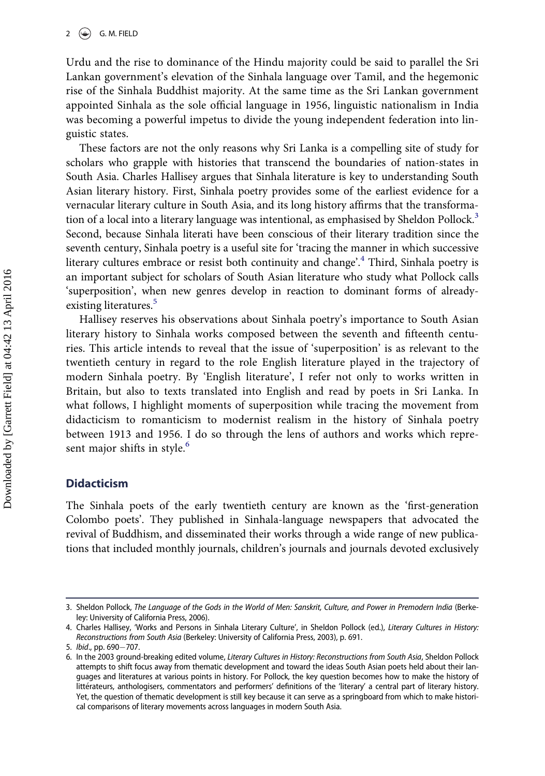Urdu and the rise to dominance of the Hindu majority could be said to parallel the Sri Lankan government's elevation of the Sinhala language over Tamil, and the hegemonic rise of the Sinhala Buddhist majority. At the same time as the Sri Lankan government appointed Sinhala as the sole official language in 1956, linguistic nationalism in India was becoming a powerful impetus to divide the young independent federation into linguistic states.

These factors are not the only reasons why Sri Lanka is a compelling site of study for scholars who grapple with histories that transcend the boundaries of nation-states in South Asia. Charles Hallisey argues that Sinhala literature is key to understanding South Asian literary history. First, Sinhala poetry provides some of the earliest evidence for a vernacular literary culture in South Asia, and its long history affirms that the transforma-tion of a local into a literary language was intentional, as emphasised by Sheldon Pollock.<sup>[3](#page-2-0)</sup> Second, because Sinhala literati have been conscious of their literary tradition since the seventh century, Sinhala poetry is a useful site for 'tracing the manner in which successive literary cultures embrace or resist both continuity and change'.<sup>[4](#page-2-1)</sup> Third, Sinhala poetry is an important subject for scholars of South Asian literature who study what Pollock calls 'superposition', when new genres develop in reaction to dominant forms of already-existing literatures.<sup>[5](#page-2-2)</sup>

Hallisey reserves his observations about Sinhala poetry's importance to South Asian literary history to Sinhala works composed between the seventh and fifteenth centuries. This article intends to reveal that the issue of 'superposition' is as relevant to the twentieth century in regard to the role English literature played in the trajectory of modern Sinhala poetry. By 'English literature', I refer not only to works written in Britain, but also to texts translated into English and read by poets in Sri Lanka. In what follows, I highlight moments of superposition while tracing the movement from didacticism to romanticism to modernist realism in the history of Sinhala poetry between 1913 and 1956. I do so through the lens of authors and works which repre-sent major shifts in style.<sup>[6](#page-2-3)</sup>

#### Didacticism

The Sinhala poets of the early twentieth century are known as the 'first-generation Colombo poets'. They published in Sinhala-language newspapers that advocated the revival of Buddhism, and disseminated their works through a wide range of new publications that included monthly journals, children's journals and journals devoted exclusively

<span id="page-2-0"></span><sup>3.</sup> Sheldon Pollock, The Language of the Gods in the World of Men: Sanskrit, Culture, and Power in Premodern India (Berkeley: University of California Press, 2006).

<span id="page-2-1"></span><sup>4.</sup> Charles Hallisey, 'Works and Persons in Sinhala Literary Culture', in Sheldon Pollock (ed.), Literary Cultures in History: Reconstructions from South Asia (Berkeley: University of California Press, 2003), p. 691.

<span id="page-2-2"></span><sup>5.</sup> Ibid., pp. 690-707.

<span id="page-2-3"></span><sup>6.</sup> In the 2003 ground-breaking edited volume, Literary Cultures in History: Reconstructions from South Asia, Sheldon Pollock attempts to shift focus away from thematic development and toward the ideas South Asian poets held about their languages and literatures at various points in history. For Pollock, the key question becomes how to make the history of littérateurs, anthologisers, commentators and performers' definitions of the 'literary' a central part of literary history. Yet, the question of thematic development is still key because it can serve as a springboard from which to make historical comparisons of literary movements across languages in modern South Asia.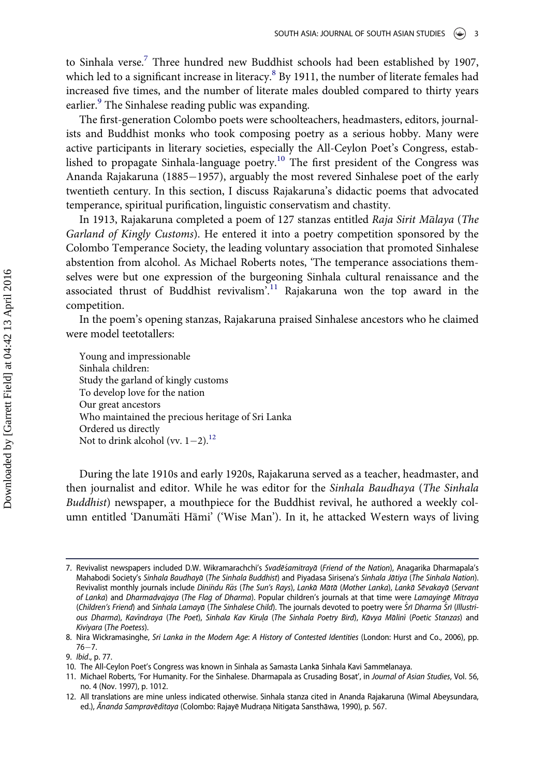to Sinhala verse.<sup>[7](#page-3-0)</sup> Three hundred new Buddhist schools had been established by 1907, which led to a significant increase in literacy.<sup>[8](#page-3-1)</sup> By 1911, the number of literate females had increased five times, and the number of literate males doubled compared to thirty years earlier.<sup>[9](#page-3-2)</sup> The Sinhalese reading public was expanding.

The first-generation Colombo poets were schoolteachers, headmasters, editors, journalists and Buddhist monks who took composing poetry as a serious hobby. Many were active participants in literary societies, especially the All-Ceylon Poet's Congress, established to propagate Sinhala-language poetry.[10](#page-3-3) The first president of the Congress was Ananda Rajakaruna (1885–1957), arguably the most revered Sinhalese poet of the early twentieth century. In this section, I discuss Rajakaruna's didactic poems that advocated temperance, spiritual purification, linguistic conservatism and chastity.

In 1913, Rajakaruna completed a poem of 127 stanzas entitled Raja Sirit Malaya (The Garland of Kingly Customs). He entered it into a poetry competition sponsored by the Colombo Temperance Society, the leading voluntary association that promoted Sinhalese abstention from alcohol. As Michael Roberts notes, 'The temperance associations themselves were but one expression of the burgeoning Sinhala cultural renaissance and the associated thrust of Buddhist revivalism<sup>7[11](#page-3-4)</sup> Rajakaruna won the top award in the competition.

In the poem's opening stanzas, Rajakaruna praised Sinhalese ancestors who he claimed were model teetotallers:

Young and impressionable Sinhala children: Study the garland of kingly customs To develop love for the nation Our great ancestors Who maintained the precious heritage of Sri Lanka Ordered us directly Not to drink alcohol (vv.  $1-2$ ).<sup>[12](#page-3-5)</sup>

During the late 1910s and early 1920s, Rajakaruna served as a teacher, headmaster, and then journalist and editor. While he was editor for the Sinhala Baudhaya (The Sinhala Buddhist) newspaper, a mouthpiece for the Buddhist revival, he authored a weekly column entitled 'Danumäti Hāmi' ('Wise Man'). In it, he attacked Western ways of living

<span id="page-3-0"></span><sup>7.</sup> Revivalist newspapers included D.W. Wikramarachchi's Svadesamitraya (Friend of the Nation), Anagarika Dharmapala's Mahabodi Society's Sinhala Baudhaya (The Sinhala Buddhist) and Piyadasa Sirisena's Sinhala Jatiya (The Sinhala Nation). Revivalist monthly journals include Diniňdu Räs (The Sun's Rays), Lankā Mātā (Mother Lanka), Lankā Sēvakayā (Servant of Lanka) and Dharmadvajaya (The Flag of Dharma). Popular children's journals at that time were Lamayinge Mitraya (Children's Friend) and Sinhala Lamayā (The Sinhalese Child). The journals devoted to poetry were Srī Dharma Srī (Illustrious Dharma), Kavindraya (The Poet), Sinhala Kav Kirula (The Sinhala Poetry Bird), Kāvya Mālinī (Poetic Stanzas) and Kiviyara (The Poetess).

<span id="page-3-1"></span><sup>8.</sup> Nira Wickramasinghe, Sri Lanka in the Modern Age: A History of Contested Identities (London: Hurst and Co., 2006), pp.  $76 - 7.$ 

<span id="page-3-2"></span><sup>9.</sup> Ibid., p. 77.

<span id="page-3-3"></span><sup>10.</sup> The All-Ceylon Poet's Congress was known in Sinhala as Samasta Lanka Sinhala Kavi Sammelanaya.

<span id="page-3-4"></span><sup>11.</sup> Michael Roberts, 'For Humanity. For the Sinhalese. Dharmapala as Crusading Bosat', in Journal of Asian Studies, Vol. 56, no. 4 (Nov. 1997), p. 1012.

<span id="page-3-5"></span><sup>12.</sup> All translations are mine unless indicated otherwise. Sinhala stanza cited in Ananda Rajakaruna (Wimal Abeysundara, ed.), Ananda Sampraveditaya (Colombo: Rajaye Mudrana Nitigata Sansthawa, 1990), p. 567.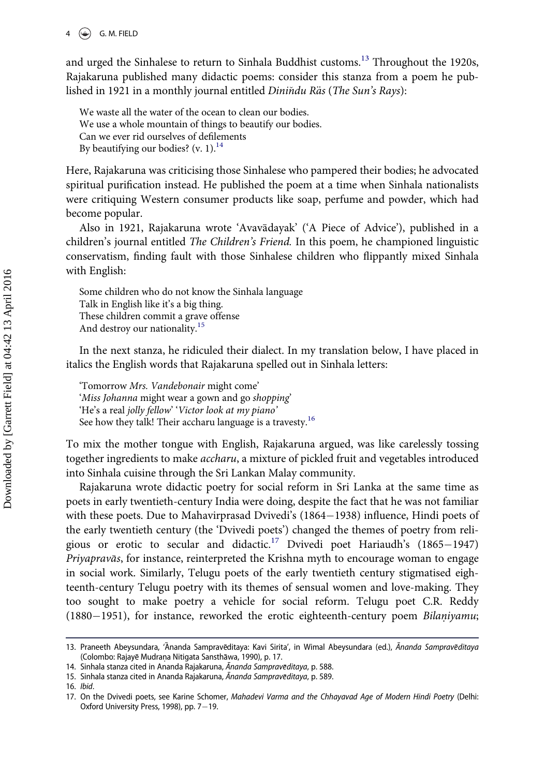#### 4  $\left(\bigoplus$  G. M. FIELD

and urged the Sinhalese to return to Sinhala Buddhist customs.<sup>[13](#page-4-0)</sup> Throughout the 1920s, Rajakaruna published many didactic poems: consider this stanza from a poem he published in 1921 in a monthly journal entitled Diniňdu Räs (The Sun's Rays):

We waste all the water of the ocean to clean our bodies. We use a whole mountain of things to beautify our bodies. Can we ever rid ourselves of defilements By beautifying our bodies? (v. 1). $^{14}$  $^{14}$  $^{14}$ 

Here, Rajakaruna was criticising those Sinhalese who pampered their bodies; he advocated spiritual purification instead. He published the poem at a time when Sinhala nationalists were critiquing Western consumer products like soap, perfume and powder, which had become popular.

Also in 1921, Rajakaruna wrote 'Avavadayak' ('A Piece of Advice'), published in a children's journal entitled The Children's Friend. In this poem, he championed linguistic conservatism, finding fault with those Sinhalese children who flippantly mixed Sinhala with English:

Some children who do not know the Sinhala language Talk in English like it's a big thing. These children commit a grave offense And destroy our nationality.[15](#page-4-2)

In the next stanza, he ridiculed their dialect. In my translation below, I have placed in italics the English words that Rajakaruna spelled out in Sinhala letters:

'Tomorrow Mrs. Vandebonair might come' 'Miss Johanna might wear a gown and go shopping' 'He's a real jolly fellow' 'Victor look at my piano' See how they talk! Their accharu language is a travesty.<sup>[16](#page-4-3)</sup>

To mix the mother tongue with English, Rajakaruna argued, was like carelessly tossing together ingredients to make accharu, a mixture of pickled fruit and vegetables introduced into Sinhala cuisine through the Sri Lankan Malay community.

Rajakaruna wrote didactic poetry for social reform in Sri Lanka at the same time as poets in early twentieth-century India were doing, despite the fact that he was not familiar with these poets. Due to Mahavirprasad Dvivedi's  $(1864-1938)$  influence, Hindi poets of the early twentieth century (the 'Dvivedi poets') changed the themes of poetry from reli-gious or erotic to secular and didactic.<sup>[17](#page-4-4)</sup> Dvivedi poet Hariaudh's (1865-1947) Priyapravās, for instance, reinterpreted the Krishna myth to encourage woman to engage in social work. Similarly, Telugu poets of the early twentieth century stigmatised eighteenth-century Telugu poetry with its themes of sensual women and love-making. They too sought to make poetry a vehicle for social reform. Telugu poet C.R. Reddy  $(1880-1951)$ , for instance, reworked the erotic eighteenth-century poem Bilaniyamu;

<span id="page-4-0"></span><sup>13.</sup> Praneeth Abeysundara, 'Ananda Sampraveditaya: Kavi Sirita', in Wimal Abeysundara (ed.), Ananda Sampraveditaya (Colombo: Rajayē Mudraņa Nitigata Sansthāwa, 1990), p. 17.

<span id="page-4-1"></span><sup>14.</sup> Sinhala stanza cited in Ananda Rajakaruna, Ananda Sampraveditaya, p. 588.

<span id="page-4-2"></span><sup>15.</sup> Sinhala stanza cited in Ananda Rajakaruna, Ananda Sampraveditaya, p. 589.

<span id="page-4-3"></span><sup>16.</sup> Ibid.

<span id="page-4-4"></span><sup>17.</sup> On the Dvivedi poets, see Karine Schomer, Mahadevi Varma and the Chhayavad Age of Modern Hindi Poetry (Delhi: Oxford University Press, 1998), pp.  $7-19$ .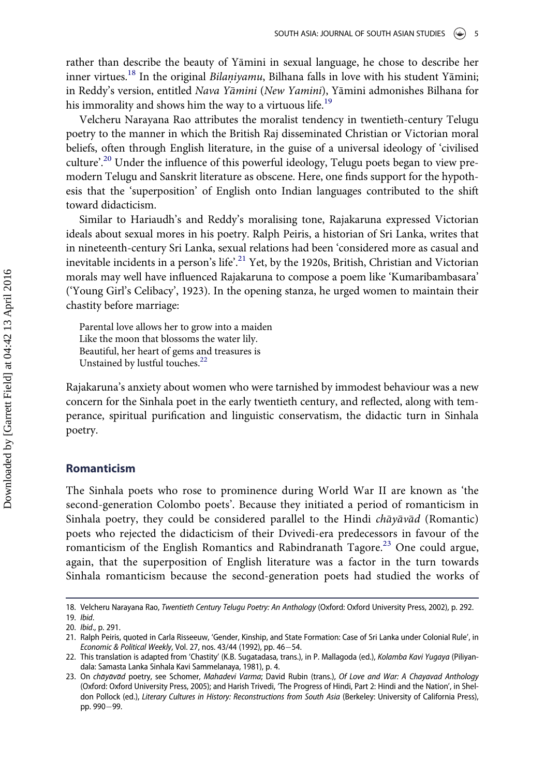rather than describe the beauty of Yamini in sexual language, he chose to describe her inner virtues.<sup>18</sup> In the original *Bilaniyamu*, Bilhana falls in love with his student Yāmini; in Reddy's version, entitled Nava Yamini (New Yamini), Yamini admonishes Bilhana for his immorality and shows him the way to a virtuous life.<sup>[19](#page-5-1)</sup>

Velcheru Narayana Rao attributes the moralist tendency in twentieth-century Telugu poetry to the manner in which the British Raj disseminated Christian or Victorian moral beliefs, often through English literature, in the guise of a universal ideology of 'civilised culture'.<sup>[20](#page-5-2)</sup> Under the influence of this powerful ideology, Telugu poets began to view premodern Telugu and Sanskrit literature as obscene. Here, one finds support for the hypothesis that the 'superposition' of English onto Indian languages contributed to the shift toward didacticism.

Similar to Hariaudh's and Reddy's moralising tone, Rajakaruna expressed Victorian ideals about sexual mores in his poetry. Ralph Peiris, a historian of Sri Lanka, writes that in nineteenth-century Sri Lanka, sexual relations had been 'considered more as casual and inevitable incidents in a person's life'.<sup>[21](#page-5-3)</sup> Yet, by the 1920s, British, Christian and Victorian morals may well have influenced Rajakaruna to compose a poem like 'Kumaribambasara' ('Young Girl's Celibacy', 1923). In the opening stanza, he urged women to maintain their chastity before marriage:

Parental love allows her to grow into a maiden Like the moon that blossoms the water lily. Beautiful, her heart of gems and treasures is Unstained by lustful touches.<sup>[22](#page-5-4)</sup>

Rajakaruna's anxiety about women who were tarnished by immodest behaviour was a new concern for the Sinhala poet in the early twentieth century, and reflected, along with temperance, spiritual purification and linguistic conservatism, the didactic turn in Sinhala poetry.

#### Romanticism

The Sinhala poets who rose to prominence during World War II are known as 'the second-generation Colombo poets'. Because they initiated a period of romanticism in Sinhala poetry, they could be considered parallel to the Hindi *chayavad* (Romantic) poets who rejected the didacticism of their Dvivedi-era predecessors in favour of the romanticism of the English Romantics and Rabindranath Tagore.<sup>[23](#page-5-5)</sup> One could argue, again, that the superposition of English literature was a factor in the turn towards Sinhala romanticism because the second-generation poets had studied the works of

<span id="page-5-0"></span><sup>18.</sup> Velcheru Narayana Rao, Twentieth Century Telugu Poetry: An Anthology (Oxford: Oxford University Press, 2002), p. 292.

<span id="page-5-1"></span><sup>19.</sup> Ibid.

<span id="page-5-2"></span><sup>20.</sup> Ibid., p. 291.

<span id="page-5-3"></span><sup>21.</sup> Ralph Peiris, quoted in Carla Risseeuw, 'Gender, Kinship, and State Formation: Case of Sri Lanka under Colonial Rule', in Economic & Political Weekly, Vol. 27, nos. 43/44 (1992), pp. 46-54.

<span id="page-5-4"></span><sup>22.</sup> This translation is adapted from 'Chastity' (K.B. Sugatadasa, trans.), in P. Mallagoda (ed.), Kolamba Kavi Yugaya (Piliyandala: Samasta Lanka Sinhala Kavi Sammelanaya, 1981), p. 4.

<span id="page-5-5"></span><sup>23.</sup> On chayavad poetry, see Schomer, Mahadevi Varma; David Rubin (trans.), Of Love and War: A Chayavad Anthology (Oxford: Oxford University Press, 2005); and Harish Trivedi, 'The Progress of Hindi, Part 2: Hindi and the Nation', in Sheldon Pollock (ed.), Literary Cultures in History: Reconstructions from South Asia (Berkeley: University of California Press), pp. 990-99.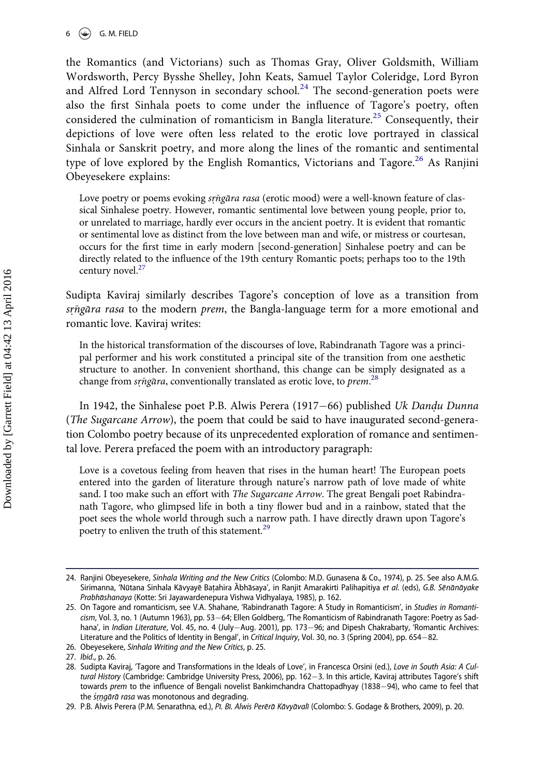the Romantics (and Victorians) such as Thomas Gray, Oliver Goldsmith, William Wordsworth, Percy Bysshe Shelley, John Keats, Samuel Taylor Coleridge, Lord Byron and Alfred Lord Tennyson in secondary school.<sup>[24](#page-6-0)</sup> The second-generation poets were also the first Sinhala poets to come under the influence of Tagore's poetry, often considered the culmination of romanticism in Bangla literature.<sup>[25](#page-6-1)</sup> Consequently, their depictions of love were often less related to the erotic love portrayed in classical Sinhala or Sanskrit poetry, and more along the lines of the romantic and sentimental type of love explored by the English Romantics, Victorians and Tagore.<sup>[26](#page-6-2)</sup> As Ranjini Obeyesekere explains:

Love poetry or poems evoking *srngara rasa* (erotic mood) were a well-known feature of classical Sinhalese poetry. However, romantic sentimental love between young people, prior to, or unrelated to marriage, hardly ever occurs in the ancient poetry. It is evident that romantic or sentimental love as distinct from the love between man and wife, or mistress or courtesan, occurs for the first time in early modern [second-generation] Sinhalese poetry and can be directly related to the influence of the 19th century Romantic poets; perhaps too to the 19th century novel.<sup>[27](#page-6-3)</sup>

Sudipta Kaviraj similarly describes Tagore's conception of love as a transition from srngara rasa to the modern prem, the Bangla-language term for a more emotional and romantic love. Kaviraj writes:

In the historical transformation of the discourses of love, Rabindranath Tagore was a principal performer and his work constituted a principal site of the transition from one aesthetic structure to another. In convenient shorthand, this change can be simply designated as a change from srngara, conventionally translated as erotic love, to prem.<sup>[28](#page-6-4)</sup>

In 1942, the Sinhalese poet P.B. Alwis Perera (1917–66) published Uk Dandu Dunna (The Sugarcane Arrow), the poem that could be said to have inaugurated second-generation Colombo poetry because of its unprecedented exploration of romance and sentimental love. Perera prefaced the poem with an introductory paragraph:

Love is a covetous feeling from heaven that rises in the human heart! The European poets entered into the garden of literature through nature's narrow path of love made of white sand. I too make such an effort with *The Sugarcane Arrow*. The great Bengali poet Rabindranath Tagore, who glimpsed life in both a tiny flower bud and in a rainbow, stated that the poet sees the whole world through such a narrow path. I have directly drawn upon Tagore's poetry to enliven the truth of this statement.<sup>[29](#page-6-5)</sup>

<span id="page-6-0"></span><sup>24.</sup> Ranjini Obeyesekere, Sinhala Writing and the New Critics (Colombo: M.D. Gunasena & Co., 1974), p. 25. See also A.M.G. Sirimanna, 'Nūtana Sinhala Kāvyayē Baṭahira Ābhāsaya', in Ranjit Amarakirti Palihapitiya et al. (eds), G.B. Sēnānāyake Prabhāshanaya (Kotte: Sri Jayawardenepura Vishwa Vidhyalaya, 1985), p. 162.

<span id="page-6-1"></span><sup>25.</sup> On Tagore and romanticism, see V.A. Shahane, 'Rabindranath Tagore: A Study in Romanticism', in Studies in Romanticism, Vol. 3, no. 1 (Autumn 1963), pp. 53–64; Ellen Goldberg, 'The Romanticism of Rabindranath Tagore: Poetry as Sadhana', in Indian Literature, Vol. 45, no. 4 (July-Aug. 2001), pp. 173-96; and Dipesh Chakrabarty, 'Romantic Archives: Literature and the Politics of Identity in Bengal', in Critical Inquiry, Vol. 30, no. 3 (Spring 2004), pp. 654-82.

<span id="page-6-2"></span><sup>26.</sup> Obeyesekere, Sinhala Writing and the New Critics, p. 25.

<span id="page-6-3"></span><sup>27.</sup> Ibid., p. 26.

<span id="page-6-4"></span><sup>28.</sup> Sudipta Kaviraj, 'Tagore and Transformations in the Ideals of Love', in Francesca Orsini (ed.), Love in South Asia: A Cultural History (Cambridge: Cambridge University Press, 2006), pp. 162-3. In this article, Kaviraj attributes Tagore's shift towards prem to the influence of Bengali novelist Bankimchandra Chattopadhyay (1838-94), who came to feel that the *śrnąārā rasa* was monotonous and degrading.

<span id="page-6-5"></span><sup>29.</sup> P.B. Alwis Perera (P.M. Senarathna, ed.), Pi. Bi. Alwis Perera Kavyavali (Colombo: S. Godage & Brothers, 2009), p. 20.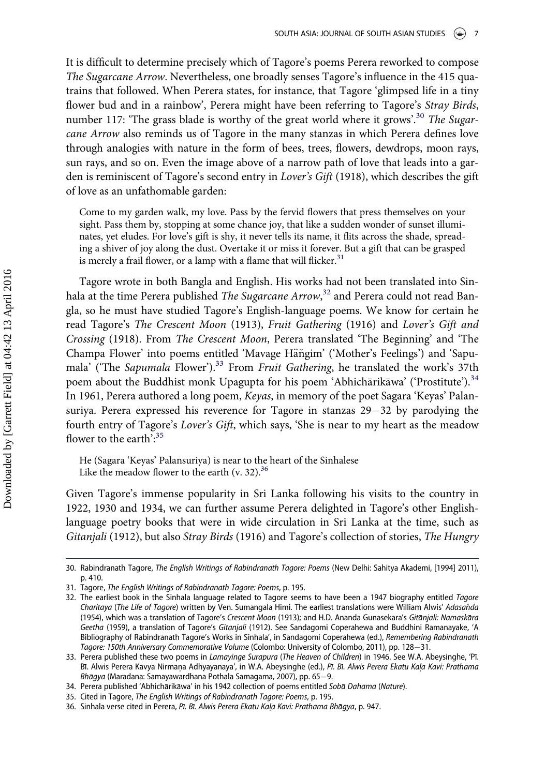It is difficult to determine precisely which of Tagore's poems Perera reworked to compose The Sugarcane Arrow. Nevertheless, one broadly senses Tagore's influence in the 415 quatrains that followed. When Perera states, for instance, that Tagore 'glimpsed life in a tiny flower bud and in a rainbow', Perera might have been referring to Tagore's Stray Birds, number 117: 'The grass blade is worthy of the great world where it grows'.<sup>[30](#page-7-0)</sup> The Sugarcane Arrow also reminds us of Tagore in the many stanzas in which Perera defines love through analogies with nature in the form of bees, trees, flowers, dewdrops, moon rays, sun rays, and so on. Even the image above of a narrow path of love that leads into a garden is reminiscent of Tagore's second entry in Lover's Gift (1918), which describes the gift of love as an unfathomable garden:

Come to my garden walk, my love. Pass by the fervid flowers that press themselves on your sight. Pass them by, stopping at some chance joy, that like a sudden wonder of sunset illuminates, yet eludes. For love's gift is shy, it never tells its name, it flits across the shade, spreading a shiver of joy along the dust. Overtake it or miss it forever. But a gift that can be grasped is merely a frail flower, or a lamp with a flame that will flicker. $31$ 

Tagore wrote in both Bangla and English. His works had not been translated into Sin-hala at the time Perera published The Sugarcane Arrow,<sup>[32](#page-7-2)</sup> and Perera could not read Bangla, so he must have studied Tagore's English-language poems. We know for certain he read Tagore's The Crescent Moon (1913), Fruit Gathering (1916) and Lover's Gift and Crossing (1918). From The Crescent Moon, Perera translated 'The Beginning' and 'The Champa Flower' into poems entitled 'Mavage Hängim' ('Mother's Feelings') and 'Sapumala' ('The Sapumala Flower').<sup>33</sup> From Fruit Gathering, he translated the work's 37th poem about the Buddhist monk Upagupta for his poem 'Abhichārikāwa' ('Prostitute').<sup>[34](#page-7-4)</sup> In 1961, Perera authored a long poem, Keyas, in memory of the poet Sagara 'Keyas' Palansuriya. Perera expressed his reverence for Tagore in stanzas  $29-32$  by parodying the fourth entry of Tagore's Lover's Gift, which says, 'She is near to my heart as the meadow flower to the earth':<sup>[35](#page-7-5)</sup>

He (Sagara 'Keyas' Palansuriya) is near to the heart of the Sinhalese Like the meadow flower to the earth (v. 32). $36$ 

Given Tagore's immense popularity in Sri Lanka following his visits to the country in 1922, 1930 and 1934, we can further assume Perera delighted in Tagore's other Englishlanguage poetry books that were in wide circulation in Sri Lanka at the time, such as Gitanjali (1912), but also Stray Birds (1916) and Tagore's collection of stories, The Hungry

<span id="page-7-0"></span><sup>30.</sup> Rabindranath Tagore, The English Writings of Rabindranath Tagore: Poems (New Delhi: Sahitya Akademi, [1994] 2011), p. 410.

<span id="page-7-1"></span><sup>31.</sup> Tagore, The English Writings of Rabindranath Tagore: Poems, p. 195.

<span id="page-7-2"></span><sup>32.</sup> The earliest book in the Sinhala language related to Tagore seems to have been a 1947 biography entitled Tagore Charitaya (The Life of Tagore) written by Ven. Sumangala Himi. The earliest translations were William Alwis' Adasaňda (1954), which was a translation of Tagore's Crescent Moon (1913); and H.D. Ananda Gunasekara's Gitanjali: Namaskara Geetha (1959), a translation of Tagore's Gitanjali (1912). See Sandagomi Coperahewa and Buddhini Ramanayake, 'A Bibliography of Rabindranath Tagore's Works in Sinhala', in Sandagomi Coperahewa (ed.), Remembering Rabindranath Tagore: 150th Anniversary Commemorative Volume (Colombo: University of Colombo, 2011), pp. 128-31.

<span id="page-7-3"></span><sup>33.</sup> Perera published these two poems in Lamayinge Surapura (The Heaven of Children) in 1946. See W.A. Abeysinghe, 'Pi. Bī. Alwis Perera Kāvya Nirmāņa Adhyayanaya', in W.A. Abeysinghe (ed.), Pī. Bī. Alwis Perera Ekatu Kaļa Kavi: Prathama  $Bh\bar{a}gya$  (Maradana: Samayawardhana Pothala Samagama, 2007), pp. 65-9.

<span id="page-7-4"></span><sup>34.</sup> Perera published 'Abhichārikāwa' in his 1942 collection of poems entitled Sobā Dahama (Nature).

<span id="page-7-5"></span><sup>35.</sup> Cited in Tagore, The English Writings of Rabindranath Tagore: Poems, p. 195.

<span id="page-7-6"></span><sup>36.</sup> Sinhala verse cited in Perera, Pī. Bī. Alwis Perera Ekatu Kala Kavi: Prathama Bhāgya, p. 947.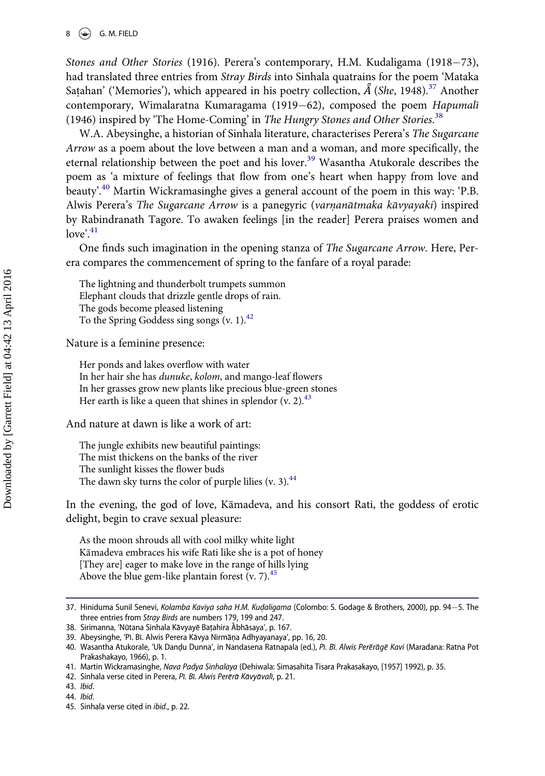Stones and Other Stories (1916). Perera's contemporary, H.M. Kudaligama (1918-73), had translated three entries from Stray Birds into Sinhala quatrains for the poem 'Mataka Satahan' ('Memories'), which appeared in his poetry collection,  $\tilde{A}$  (She, 1948).<sup>[37](#page-8-0)</sup> Another contemporary, Wimalaratna Kumaragama (1919-62), composed the poem Hapumali (1946) inspired by 'The Home-Coming' in The Hungry Stones and Other Stories.<sup>[38](#page-8-1)</sup>

W.A. Abeysinghe, a historian of Sinhala literature, characterises Perera's The Sugarcane Arrow as a poem about the love between a man and a woman, and more specifically, the eternal relationship between the poet and his lover.<sup>[39](#page-8-2)</sup> Wasantha Atukorale describes the poem as 'a mixture of feelings that flow from one's heart when happy from love and beauty'.<sup>[40](#page-8-3)</sup> Martin Wickramasinghe gives a general account of the poem in this way: 'P.B. Alwis Perera's The Sugarcane Arrow is a panegyric (varnanātmaka kāvyayaki) inspired by Rabindranath Tagore. To awaken feelings [in the reader] Perera praises women and love'.<sup>[41](#page-8-4)</sup>

One finds such imagination in the opening stanza of The Sugarcane Arrow. Here, Perera compares the commencement of spring to the fanfare of a royal parade:

The lightning and thunderbolt trumpets summon Elephant clouds that drizzle gentle drops of rain. The gods become pleased listening To the Spring Goddess sing songs  $(v. 1).<sup>42</sup>$  $(v. 1).<sup>42</sup>$  $(v. 1).<sup>42</sup>$ 

Nature is a feminine presence:

Her ponds and lakes overflow with water In her hair she has dunuke, kolom, and mango-leaf flowers In her grasses grow new plants like precious blue-green stones Her earth is like a queen that shines in splendor  $(v, 2)$ .<sup>43</sup>

And nature at dawn is like a work of art:

The jungle exhibits new beautiful paintings: The mist thickens on the banks of the river The sunlight kisses the flower buds The dawn sky turns the color of purple lilies (v. 3). $44$ 

In the evening, the god of love, Kamadeva, and his consort Rati, the goddess of erotic delight, begin to crave sexual pleasure:

As the moon shrouds all with cool milky white light Kamadeva embraces his wife Rati like she is a pot of honey [They are] eager to make love in the range of hills lying Above the blue gem-like plantain forest (v. 7). $45$ 

<span id="page-8-5"></span>42. Sinhala verse cited in Perera, Pī. Bī. Alwis Perērā Kāvyāvalī, p. 21.

<span id="page-8-0"></span><sup>37.</sup> Hiniduma Sunil Senevi, Kolamba Kaviya saha H.M. Kudaligama (Colombo: S. Godage & Brothers, 2000), pp. 94-5. The three entries from Stray Birds are numbers 179, 199 and 247.

<span id="page-8-1"></span><sup>38.</sup> Sirimanna, 'Nūtana Sinhala Kāvyayē Batahira Abhāsaya', p. 167.

<span id="page-8-2"></span><sup>39.</sup> Abeysinghe, 'Pi. Bi. Alwis Perera Kāvya Nirmāņa Adhyayanaya', pp. 16, 20.

<span id="page-8-3"></span><sup>40.</sup> Wasantha Atukorale, 'Uk Dandu Dunna', in Nandasena Ratnapala (ed.), Pī. Bī. Alwis Perērāgē Kavi (Maradana: Ratna Pot Prakashakayo, 1966), p. 1.

<span id="page-8-4"></span><sup>41.</sup> Martin Wickramasinghe, Nava Padya Sinhalaya (Dehiwala: Simasahita Tisara Prakasakayo, [1957] 1992), p. 35.

<span id="page-8-6"></span><sup>43.</sup> Ibid.

<span id="page-8-7"></span><sup>44.</sup> Ibid.

<span id="page-8-8"></span><sup>45.</sup> Sinhala verse cited in ibid., p. 22.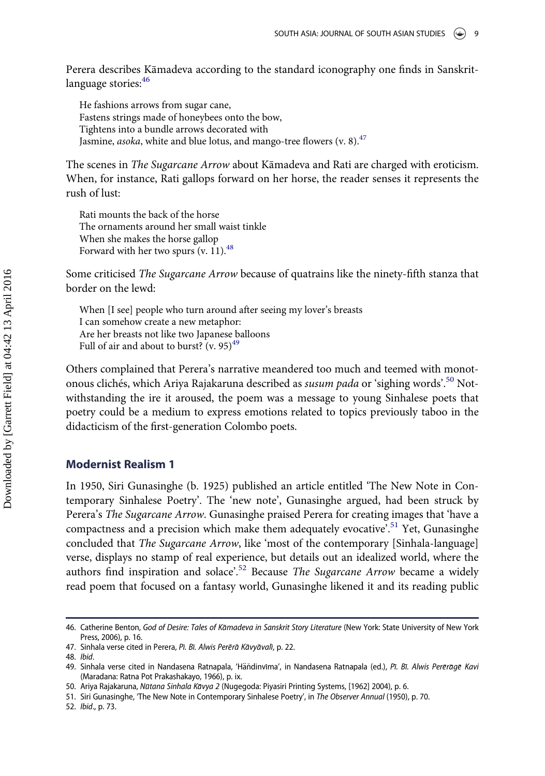Perera describes Kamadeva according to the standard iconography one finds in Sanskritlanguage stories: 46

He fashions arrows from sugar cane, Fastens strings made of honeybees onto the bow, Tightens into a bundle arrows decorated with Jasmine, asoka, white and blue lotus, and mango-tree flowers (v. 8). $47$ 

The scenes in The Sugarcane Arrow about Kamadeva and Rati are charged with eroticism. When, for instance, Rati gallops forward on her horse, the reader senses it represents the rush of lust:

Rati mounts the back of the horse The ornaments around her small waist tinkle When she makes the horse gallop Forward with her two spurs  $(v. 11).$ <sup>[48](#page-9-2)</sup>

Some criticised The Sugarcane Arrow because of quatrains like the ninety-fifth stanza that border on the lewd:

When [I see] people who turn around after seeing my lover's breasts I can somehow create a new metaphor: Are her breasts not like two Japanese balloons Full of air and about to burst? (v. 95) $49$ 

Others complained that Perera's narrative meandered too much and teemed with monot-onous clichés, which Ariya Rajakaruna described as susum pada or 'sighing words'.<sup>[50](#page-9-4)</sup> Notwithstanding the ire it aroused, the poem was a message to young Sinhalese poets that poetry could be a medium to express emotions related to topics previously taboo in the didacticism of the first-generation Colombo poets.

#### Modernist Realism 1

In 1950, Siri Gunasinghe (b. 1925) published an article entitled 'The New Note in Contemporary Sinhalese Poetry'. The 'new note', Gunasinghe argued, had been struck by Perera's The Sugarcane Arrow. Gunasinghe praised Perera for creating images that 'have a compactness and a precision which make them adequately evocative<sup>2,[51](#page-9-5)</sup> Yet, Gunasinghe concluded that The Sugarcane Arrow, like 'most of the contemporary [Sinhala-language] verse, displays no stamp of real experience, but details out an idealized world, where the authors find inspiration and solace'.<sup>[52](#page-9-6)</sup> Because The Sugarcane Arrow became a widely read poem that focused on a fantasy world, Gunasinghe likened it and its reading public

<span id="page-9-0"></span><sup>46.</sup> Catherine Benton, God of Desire: Tales of Kāmadeva in Sanskrit Story Literature (New York: State University of New York Press, 2006), p. 16.

<span id="page-9-1"></span><sup>47.</sup> Sinhala verse cited in Perera, Pī. Bī. Alwis Perērā Kāvyāvalī, p. 22.

<span id="page-9-2"></span><sup>48.</sup> Ibid.

<span id="page-9-3"></span><sup>49.</sup> Sinhala verse cited in Nandasena Ratnapala, 'Häňdinvīma', in Nandasena Ratnapala (ed.), Pī. Bī. Alwis Perērāgē Kavi (Maradana: Ratna Pot Prakashakayo, 1966), p. ix.

<span id="page-9-4"></span><sup>50.</sup> Ariya Rajakaruna, Nūtana Sinhala Kāvya 2 (Nugegoda: Piyasiri Printing Systems, [1962] 2004), p. 6.

<span id="page-9-5"></span><sup>51.</sup> Siri Gunasinghe, 'The New Note in Contemporary Sinhalese Poetry', in The Observer Annual (1950), p. 70.

<span id="page-9-6"></span><sup>52.</sup> Ibid., p. 73.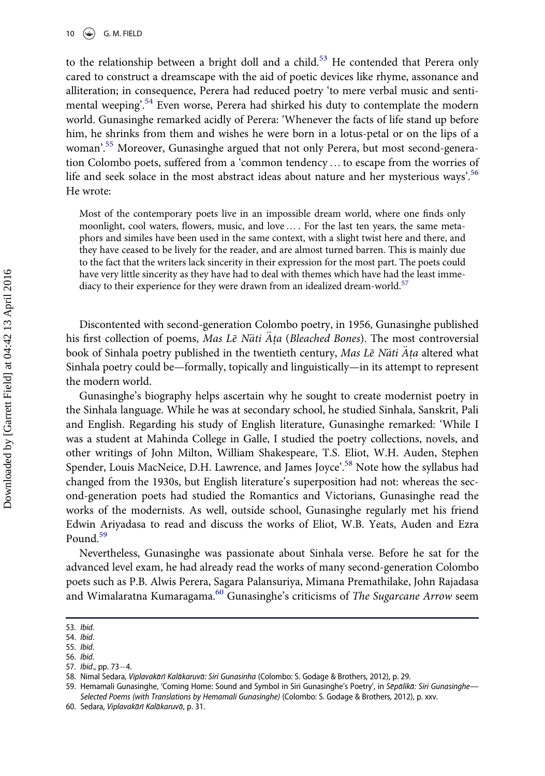to the relationship between a bright doll and a child.<sup>[53](#page-10-0)</sup> He contended that Perera only cared to construct a dreamscape with the aid of poetic devices like rhyme, assonance and alliteration; in consequence, Perera had reduced poetry 'to mere verbal music and senti-mental weeping'.<sup>[54](#page-10-1)</sup> Even worse, Perera had shirked his duty to contemplate the modern world. Gunasinghe remarked acidly of Perera: 'Whenever the facts of life stand up before him, he shrinks from them and wishes he were born in a lotus-petal or on the lips of a woman'. [55](#page-10-2) Moreover, Gunasinghe argued that not only Perera, but most second-generation Colombo poets, suffered from a 'common tendency …to escape from the worries of life and seek solace in the most abstract ideas about nature and her mysterious ways'.<sup>[56](#page-10-3)</sup> He wrote:

Most of the contemporary poets live in an impossible dream world, where one finds only moonlight, cool waters, flowers, music, and love… . For the last ten years, the same metaphors and similes have been used in the same context, with a slight twist here and there, and they have ceased to be lively for the reader, and are almost turned barren. This is mainly due to the fact that the writers lack sincerity in their expression for the most part. The poets could have very little sincerity as they have had to deal with themes which have had the least imme-diacy to their experience for they were drawn from an idealized dream-world.<sup>[57](#page-10-4)</sup>

Discontented with second-generation Colombo poetry, in 1956, Gunasinghe published his first collection of poems, Mas Le Nati Ata (Bleached Bones). The most controversial book of Sinhala poetry published in the twentieth century, Mas Le Näti Ata altered what Sinhala poetry could be—formally, topically and linguistically—in its attempt to represent the modern world.

Gunasinghe's biography helps ascertain why he sought to create modernist poetry in the Sinhala language. While he was at secondary school, he studied Sinhala, Sanskrit, Pali and English. Regarding his study of English literature, Gunasinghe remarked: 'While I was a student at Mahinda College in Galle, I studied the poetry collections, novels, and other writings of John Milton, William Shakespeare, T.S. Eliot, W.H. Auden, Stephen Spender, Louis MacNeice, D.H. Lawrence, and James Joyce<sup>2,[58](#page-10-5)</sup> Note how the syllabus had changed from the 1930s, but English literature's superposition had not: whereas the second-generation poets had studied the Romantics and Victorians, Gunasinghe read the works of the modernists. As well, outside school, Gunasinghe regularly met his friend Edwin Ariyadasa to read and discuss the works of Eliot, W.B. Yeats, Auden and Ezra Pound.<sup>[59](#page-10-6)</sup>

Nevertheless, Gunasinghe was passionate about Sinhala verse. Before he sat for the advanced level exam, he had already read the works of many second-generation Colombo poets such as P.B. Alwis Perera, Sagara Palansuriya, Mimana Premathilake, John Rajadasa and Wimalaratna Kumaragama.<sup>[60](#page-10-7)</sup> Gunasinghe's criticisms of The Sugarcane Arrow seem

<span id="page-10-0"></span><sup>53.</sup> Ibid.

<span id="page-10-1"></span><sup>54.</sup> Ibid.

<span id="page-10-2"></span><sup>55.</sup> Ibid.

<span id="page-10-4"></span><span id="page-10-3"></span><sup>56.</sup> Ibid. 57. Ibid., pp. 73-4.

<span id="page-10-5"></span><sup>58.</sup> Nimal Sedara, Viplavakarı Kalakaruva: Siri Gunasinha (Colombo: S. Godage & Brothers, 2012), p. 29.

<span id="page-10-6"></span><sup>59.</sup> Hemamali Gunasinghe, 'Coming Home: Sound and Symbol in Siri Gunasinghe's Poetry', in Sēpālikā: Siri Gunasinghe-Selected Poems (with Translations by Hemamali Gunasinghe) (Colombo: S. Godage & Brothers, 2012), p. xxv.

<span id="page-10-7"></span><sup>60.</sup> Sedara, Viplavakārī Kalākaruvā, p. 31.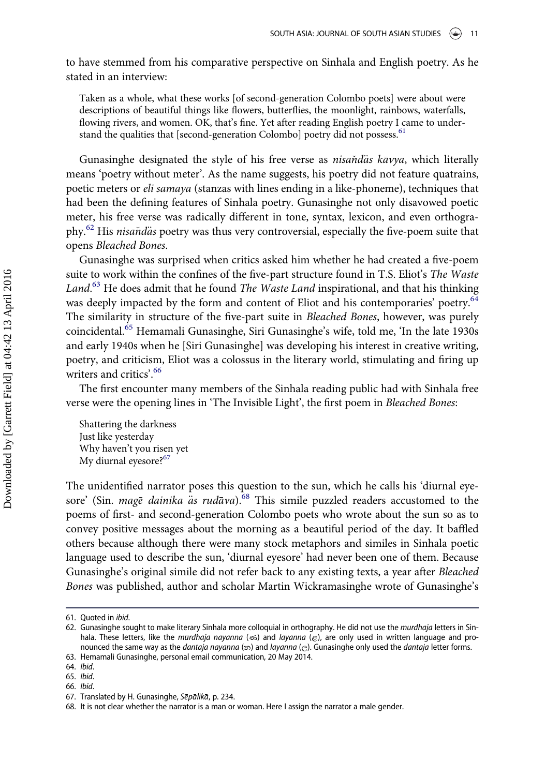to have stemmed from his comparative perspective on Sinhala and English poetry. As he stated in an interview:

Taken as a whole, what these works [of second-generation Colombo poets] were about were descriptions of beautiful things like flowers, butterflies, the moonlight, rainbows, waterfalls, flowing rivers, and women. OK, that's fine. Yet after reading English poetry I came to under-stand the qualities that [second-generation Colombo] poetry did not possess.<sup>[61](#page-11-0)</sup>

Gunasinghe designated the style of his free verse as *nisandas kavya*, which literally means 'poetry without meter'. As the name suggests, his poetry did not feature quatrains, poetic meters or eli samaya (stanzas with lines ending in a like-phoneme), techniques that had been the defining features of Sinhala poetry. Gunasinghe not only disavowed poetic meter, his free verse was radically different in tone, syntax, lexicon, and even orthography. $62$  His nisand as poetry was thus very controversial, especially the five-poem suite that opens Bleached Bones.

Gunasinghe was surprised when critics asked him whether he had created a five-poem suite to work within the confines of the five-part structure found in T.S. Eliot's The Waste Land.<sup>[63](#page-11-2)</sup> He does admit that he found *The Waste Land* inspirational, and that his thinking was deeply impacted by the form and content of Eliot and his contemporaries' poetry.<sup>[64](#page-11-3)</sup> The similarity in structure of the five-part suite in Bleached Bones, however, was purely coincidental.[65](#page-11-4) Hemamali Gunasinghe, Siri Gunasinghe's wife, told me, 'In the late 1930s and early 1940s when he [Siri Gunasinghe] was developing his interest in creative writing, poetry, and criticism, Eliot was a colossus in the literary world, stimulating and firing up writers and critics'. [66](#page-11-5)

The first encounter many members of the Sinhala reading public had with Sinhala free verse were the opening lines in 'The Invisible Light', the first poem in Bleached Bones:

Shattering the darkness Just like yesterday Why haven't you risen yet My diurnal eyesore?<sup>[67](#page-11-6)</sup>

The unidentified narrator poses this question to the sun, which he calls his 'diurnal eyesore' (Sin. mage dainika  $\ddot{a}$ s rudava).<sup>[68](#page-11-7)</sup> This simile puzzled readers accustomed to the poems of first- and second-generation Colombo poets who wrote about the sun so as to convey positive messages about the morning as a beautiful period of the day. It baffled others because although there were many stock metaphors and similes in Sinhala poetic language used to describe the sun, 'diurnal eyesore' had never been one of them. Because Gunasinghe's original simile did not refer back to any existing texts, a year after Bleached Bones was published, author and scholar Martin Wickramasinghe wrote of Gunasinghe's

<span id="page-11-0"></span><sup>61.</sup> Quoted in ibid.

<span id="page-11-1"></span><sup>62.</sup> Gunasinghe sought to make literary Sinhala more colloquial in orthography. He did not use the *murdhaja* letters in Sinhala. These letters, like the mūrdhaja nayanna ( $\epsilon$ ) and layanna ( $\epsilon$ ), are only used in written language and pronounced the same way as the dantaja nayanna ( $\infty$ ) and layanna ( $\infty$ ). Gunasinghe only used the dantaja letter forms.

<span id="page-11-2"></span><sup>63.</sup> Hemamali Gunasinghe, personal email communication, 20 May 2014.

<span id="page-11-3"></span><sup>64.</sup> Ibid.

<span id="page-11-4"></span><sup>65.</sup> Ibid.

<span id="page-11-5"></span><sup>66.</sup> Ibid.

<span id="page-11-6"></span><sup>67.</sup> Translated by H. Gunasinghe, Sēpālikā, p. 234.

<span id="page-11-7"></span><sup>68.</sup> It is not clear whether the narrator is a man or woman. Here I assign the narrator a male gender.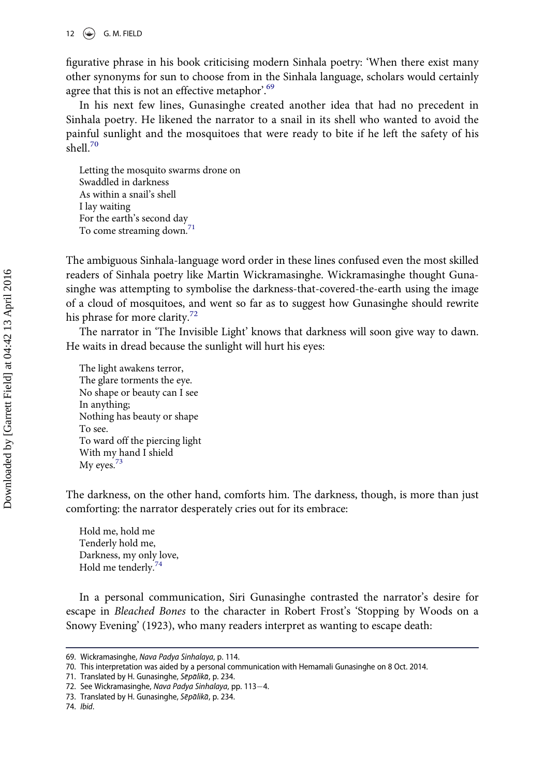figurative phrase in his book criticising modern Sinhala poetry: 'When there exist many other synonyms for sun to choose from in the Sinhala language, scholars would certainly agree that this is not an effective metaphor'.<sup>[69](#page-12-0)</sup>

In his next few lines, Gunasinghe created another idea that had no precedent in Sinhala poetry. He likened the narrator to a snail in its shell who wanted to avoid the painful sunlight and the mosquitoes that were ready to bite if he left the safety of his shell $^{70}$  $^{70}$  $^{70}$ 

Letting the mosquito swarms drone on Swaddled in darkness As within a snail's shell I lay waiting For the earth's second day To come streaming down.<sup>[71](#page-12-2)</sup>

The ambiguous Sinhala-language word order in these lines confused even the most skilled readers of Sinhala poetry like Martin Wickramasinghe. Wickramasinghe thought Gunasinghe was attempting to symbolise the darkness-that-covered-the-earth using the image of a cloud of mosquitoes, and went so far as to suggest how Gunasinghe should rewrite his phrase for more clarity.<sup>[72](#page-12-3)</sup>

The narrator in 'The Invisible Light' knows that darkness will soon give way to dawn. He waits in dread because the sunlight will hurt his eyes:

The light awakens terror, The glare torments the eye. No shape or beauty can I see In anything; Nothing has beauty or shape To see. To ward off the piercing light With my hand I shield  $Mv$  eyes.<sup>73</sup>

The darkness, on the other hand, comforts him. The darkness, though, is more than just comforting: the narrator desperately cries out for its embrace:

Hold me, hold me Tenderly hold me, Darkness, my only love, Hold me tenderly.[74](#page-12-5)

In a personal communication, Siri Gunasinghe contrasted the narrator's desire for escape in Bleached Bones to the character in Robert Frost's 'Stopping by Woods on a Snowy Evening' (1923), who many readers interpret as wanting to escape death:

<span id="page-12-0"></span><sup>69.</sup> Wickramasinghe, Nava Padya Sinhalaya, p. 114.

<span id="page-12-1"></span><sup>70.</sup> This interpretation was aided by a personal communication with Hemamali Gunasinghe on 8 Oct. 2014.

<span id="page-12-2"></span><sup>71.</sup> Translated by H. Gunasinghe, Sēpālikā, p. 234.

<span id="page-12-3"></span><sup>72.</sup> See Wickramasinghe, Nava Padya Sinhalaya, pp. 113-4.

<span id="page-12-4"></span><sup>73.</sup> Translated by H. Gunasinghe, Sēpālikā, p. 234.

<span id="page-12-5"></span><sup>74.</sup> Ibid.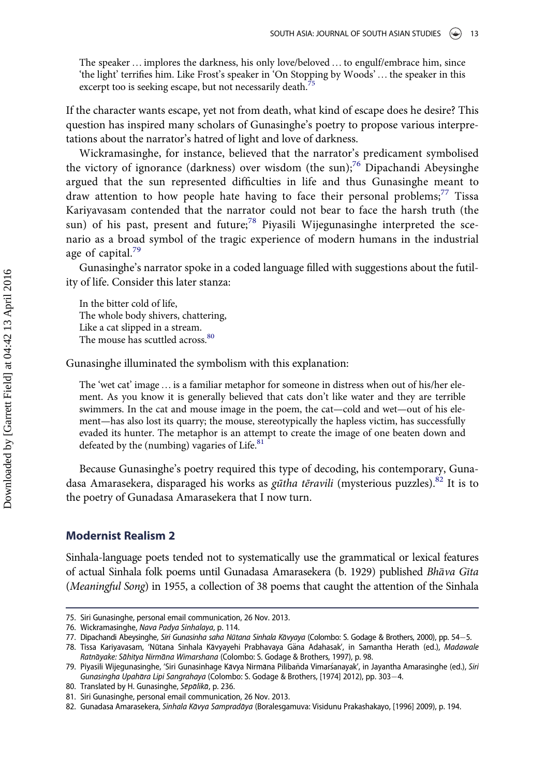The speaker …implores the darkness, his only love/beloved … to engulf/embrace him, since 'the light' terrifies him. Like Frost's speaker in 'On Stopping by Woods'… the speaker in this excerpt too is seeking escape, but not necessarily death.<sup>7</sup>

If the character wants escape, yet not from death, what kind of escape does he desire? This question has inspired many scholars of Gunasinghe's poetry to propose various interpretations about the narrator's hatred of light and love of darkness.

Wickramasinghe, for instance, believed that the narrator's predicament symbolised the victory of ignorance (darkness) over wisdom (the sun);<sup>[76](#page-13-1)</sup> Dipachandi Abeysinghe argued that the sun represented difficulties in life and thus Gunasinghe meant to draw attention to how people hate having to face their personal problems;<sup>[77](#page-13-2)</sup> Tissa Kariyavasam contended that the narrator could not bear to face the harsh truth (the sun) of his past, present and future;<sup>[78](#page-13-3)</sup> Piyasili Wijegunasinghe interpreted the scenario as a broad symbol of the tragic experience of modern humans in the industrial age of capital. $79$ 

Gunasinghe's narrator spoke in a coded language filled with suggestions about the futility of life. Consider this later stanza:

In the bitter cold of life, The whole body shivers, chattering, Like a cat slipped in a stream. The mouse has scuttled across.<sup>[80](#page-13-5)</sup>

Gunasinghe illuminated the symbolism with this explanation:

The 'wet cat' image ... is a familiar metaphor for someone in distress when out of his/her element. As you know it is generally believed that cats don't like water and they are terrible swimmers. In the cat and mouse image in the poem, the cat—cold and wet—out of his element—has also lost its quarry; the mouse, stereotypically the hapless victim, has successfully evaded its hunter. The metaphor is an attempt to create the image of one beaten down and defeated by the (numbing) vagaries of Life.<sup>[81](#page-13-6)</sup>

Because Gunasinghe's poetry required this type of decoding, his contemporary, Guna-dasa Amarasekera, disparaged his works as gūtha tēravili (mysterious puzzles).<sup>[82](#page-13-7)</sup> It is to the poetry of Gunadasa Amarasekera that I now turn.

#### Modernist Realism 2

Sinhala-language poets tended not to systematically use the grammatical or lexical features of actual Sinhala folk poems until Gunadasa Amarasekera (b. 1929) published Bhava Gıta (Meaningful Song) in 1955, a collection of 38 poems that caught the attention of the Sinhala

<span id="page-13-0"></span><sup>75.</sup> Siri Gunasinghe, personal email communication, 26 Nov. 2013.

<span id="page-13-1"></span><sup>76.</sup> Wickramasinghe, Nava Padya Sinhalaya, p. 114.

<span id="page-13-2"></span><sup>77.</sup> Dipachandi Abeysinghe, Siri Gunasinha saha Nūtana Sinhala Kāvyaya (Colombo: S. Godage & Brothers, 2000), pp. 54-5.

<span id="page-13-3"></span><sup>78.</sup> Tissa Kariyavasam, 'Nūtana Sinhala Kāvyayehi Prabhavaya Gäna Adahasak', in Samantha Herath (ed.), Madawale Ratnayake: Sahitya Nirmana Wimarshana (Colombo: S. Godage & Brothers, 1997), p. 98.

<span id="page-13-4"></span><sup>79.</sup> Piyasili Wijegunasinghe, 'Siri Gunasinhage Kāvya Nirmāna Pilibaňda Vimarśanayak', in Jayantha Amarasinghe (ed.), Siri Gunasingha Upahāra Lipi Sangrahaya (Colombo: S. Godage & Brothers, [1974] 2012), pp. 303-4.

<span id="page-13-5"></span><sup>80.</sup> Translated by H. Gunasinghe, Sepalika, p. 236.

<span id="page-13-6"></span><sup>81.</sup> Siri Gunasinghe, personal email communication, 26 Nov. 2013.

<span id="page-13-7"></span><sup>82.</sup> Gunadasa Amarasekera, Sinhala Kāvya Sampradāya (Boralesgamuva: Visidunu Prakashakayo, [1996] 2009), p. 194.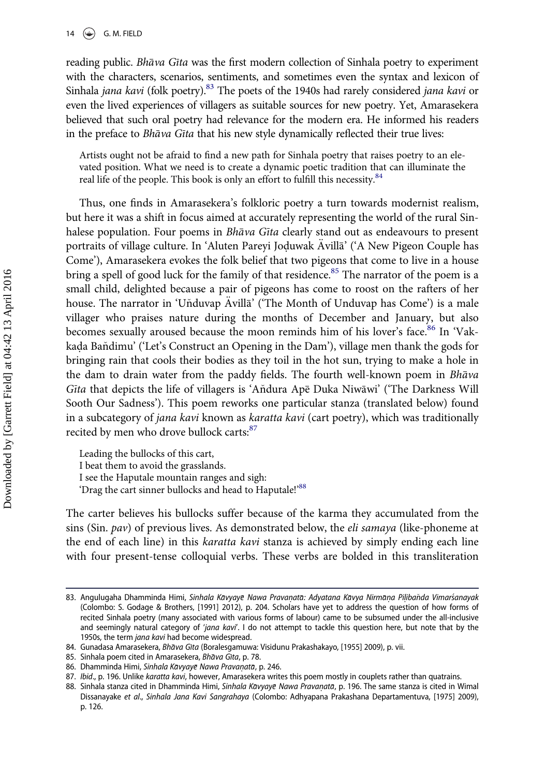reading public. Bhava Gita was the first modern collection of Sinhala poetry to experiment with the characters, scenarios, sentiments, and sometimes even the syntax and lexicon of Sinhala jana kavi (folk poetry).<sup>[83](#page-14-0)</sup> The poets of the 1940s had rarely considered jana kavi or even the lived experiences of villagers as suitable sources for new poetry. Yet, Amarasekera believed that such oral poetry had relevance for the modern era. He informed his readers in the preface to Bhava Gita that his new style dynamically reflected their true lives:

Artists ought not be afraid to find a new path for Sinhala poetry that raises poetry to an elevated position. What we need is to create a dynamic poetic tradition that can illuminate the real life of the people. This book is only an effort to fulfill this necessity.<sup>[84](#page-14-1)</sup>

Thus, one finds in Amarasekera's folkloric poetry a turn towards modernist realism, but here it was a shift in focus aimed at accurately representing the world of the rural Sinhalese population. Four poems in Bhava Gita clearly stand out as endeavours to present portraits of village culture. In 'Aluten Pareyi Joduwak Avilla' ('A New Pigeon Couple has Come'), Amarasekera evokes the folk belief that two pigeons that come to live in a house bring a spell of good luck for the family of that residence.<sup>[85](#page-14-2)</sup> The narrator of the poem is a small child, delighted because a pair of pigeons has come to roost on the rafters of her house. The narrator in 'Uňduvap Avilla' ('The Month of Unduvap has Come') is a male villager who praises nature during the months of December and January, but also becomes sexually aroused because the moon reminds him of his lover's face.<sup>[86](#page-14-3)</sup> In 'Vakkada Baňdimu' ('Let's Construct an Opening in the Dam'), village men thank the gods for bringing rain that cools their bodies as they toil in the hot sun, trying to make a hole in the dam to drain water from the paddy fields. The fourth well-known poem in Bhava Gita that depicts the life of villagers is 'Andura Ape Duka Niwawi' ('The Darkness Will Sooth Our Sadness'). This poem reworks one particular stanza (translated below) found in a subcategory of *jana kavi* known as *karatta kavi* (cart poetry), which was traditionally recited by men who drove bullock carts: [87](#page-14-4)

Leading the bullocks of this cart, I beat them to avoid the grasslands. I see the Haputale mountain ranges and sigh: 'Drag the cart sinner bullocks and head to Haputale!'<sup>[88](#page-14-5)</sup>

The carter believes his bullocks suffer because of the karma they accumulated from the sins (Sin.  $pav$ ) of previous lives. As demonstrated below, the *eli samaya* (like-phoneme at the end of each line) in this karatta kavi stanza is achieved by simply ending each line with four present-tense colloquial verbs. These verbs are bolded in this transliteration

<span id="page-14-0"></span><sup>83.</sup> Angulugaha Dhamminda Himi, Sinhala Kāvyayē Nawa Pravanatā: Adyatana Kāvya Nirmāna Pilibaňda Vimarśanayak (Colombo: S. Godage & Brothers, [1991] 2012), p. 204. Scholars have yet to address the question of how forms of recited Sinhala poetry (many associated with various forms of labour) came to be subsumed under the all-inclusive and seemingly natural category of 'jana kavi'. I do not attempt to tackle this question here, but note that by the 1950s, the term jana kavi had become widespread.

<span id="page-14-1"></span><sup>84.</sup> Gunadasa Amarasekera, Bhava Gīta (Boralesgamuwa: Visidunu Prakashakayo, [1955] 2009), p. vii.

<span id="page-14-2"></span><sup>85.</sup> Sinhala poem cited in Amarasekera, Bhāva Gīta, p. 78.

<span id="page-14-3"></span><sup>86.</sup> Dhamminda Himi, Sinhala Kāvyayē Nawa Pravaņatā, p. 246.

<span id="page-14-4"></span><sup>87.</sup> Ibid., p. 196. Unlike karatta kavi, however, Amarasekera writes this poem mostly in couplets rather than quatrains.

<span id="page-14-5"></span><sup>88.</sup> Sinhala stanza cited in Dhamminda Himi, Sinhala Kāvyayē Nawa Pravanatā, p. 196. The same stanza is cited in Wimal Dissanayake et al., Sinhala Jana Kavi Sangrahaya (Colombo: Adhyapana Prakashana Departamentuva, [1975] 2009), p. 126.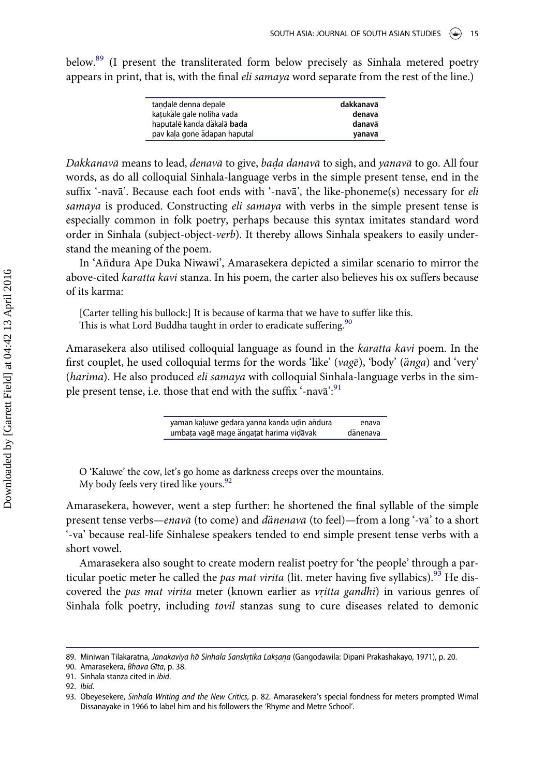below.<sup>[89](#page-15-0)</sup> (I present the transliterated form below precisely as Sinhala metered poetry appears in print, that is, with the final *eli samaya* word separate from the rest of the line.)

| tandalē denna depalē         | dakkanavā |
|------------------------------|-----------|
| katukälē gāle nolihā vada    | denavā    |
| haputalē kanda däkalā bada   | danavā    |
| pav kaļa gone ädapan haputal | vanavā    |

Dakkanavā means to lead, denavā to give, bada danavā to sigh, and yanavā to go. All four words, as do all colloquial Sinhala-language verbs in the simple present tense, end in the suffix '-nava'. Because each foot ends with '-nava', the like-phoneme(s) necessary for eli samaya is produced. Constructing eli samaya with verbs in the simple present tense is especially common in folk poetry, perhaps because this syntax imitates standard word order in Sinhala (subject-object-verb). It thereby allows Sinhala speakers to easily understand the meaning of the poem.

In 'Andura Ape Duka Niwawi', Amarasekera depicted a similar scenario to mirror the above-cited karatta kavi stanza. In his poem, the carter also believes his ox suffers because of its karma:

[Carter telling his bullock:] It is because of karma that we have to suffer like this. This is what Lord Buddha taught in order to eradicate suffering.<sup>[90](#page-15-1)</sup>

Amarasekera also utilised colloquial language as found in the karatta kavi poem. In the first couplet, he used colloquial terms for the words 'like' (vage), 'body' ( $\ddot{a}$ nga) and 'very' (harima). He also produced *eli samaya* with colloquial Sinhala-language verbs in the sim-ple present tense, i.e. those that end with the suffix '-navā':<sup>[91](#page-15-2)</sup>

| yaman kaluwe gedara yanna kanda udin andura | enava    |
|---------------------------------------------|----------|
| umbata vagē mage ängatat harima vidāvak     | dänenava |

O 'Kaluwe' the cow, let's go home as darkness creeps over the mountains. My body feels very tired like yours.<sup>[92](#page-15-3)</sup>

Amarasekera, however, went a step further: he shortened the final syllable of the simple present tense verbs—enavā (to come) and dänenavā (to feel)—from a long '-vā' to a short '-va' because real-life Sinhalese speakers tended to end simple present tense verbs with a short vowel.

Amarasekera also sought to create modern realist poetry for 'the people' through a particular poetic meter he called the *pas mat virita* (lit. meter having five syllabics).<sup>93</sup> He discovered the pas mat virita meter (known earlier as vritta gandhi) in various genres of Sinhala folk poetry, including tovil stanzas sung to cure diseases related to demonic

<span id="page-15-0"></span><sup>89.</sup> Miniwan Tilakaratna, Janakaviya ha Sinhala Sanskrtika Laksana (Gangodawila: Dipani Prakashakayo, 1971), p. 20.

<span id="page-15-1"></span><sup>90.</sup> Amarasekera, Bhāva Gīta, p. 38.

<span id="page-15-2"></span><sup>91.</sup> Sinhala stanza cited in ibid.

<span id="page-15-3"></span><sup>92.</sup> Ibid.

<span id="page-15-4"></span><sup>93.</sup> Obeyesekere, Sinhala Writing and the New Critics, p. 82. Amarasekera's special fondness for meters prompted Wimal Dissanayake in 1966 to label him and his followers the 'Rhyme and Metre School'.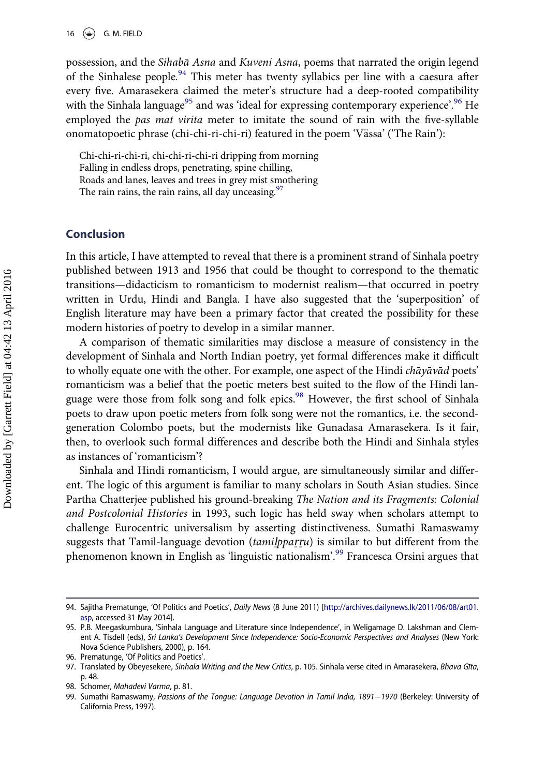possession, and the Sihabā Asna and Kuveni Asna, poems that narrated the origin legend of the Sinhalese people.<sup>[94](#page-16-0)</sup> This meter has twenty syllabics per line with a caesura after every five. Amarasekera claimed the meter's structure had a deep-rooted compatibility with the Sinhala language<sup>[95](#page-16-1)</sup> and was 'ideal for expressing contemporary experience'.<sup>[96](#page-16-2)</sup> He employed the pas mat virita meter to imitate the sound of rain with the five-syllable onomatopoetic phrase (chi-chi-ri-chi-ri) featured in the poem 'Vässa' ('The Rain'):

Chi-chi-ri-chi-ri, chi-chi-ri-chi-ri dripping from morning Falling in endless drops, penetrating, spine chilling, Roads and lanes, leaves and trees in grey mist smothering The rain rains, the rain rains, all day unceasing.<sup>[97](#page-16-3)</sup>

### Conclusion

In this article, I have attempted to reveal that there is a prominent strand of Sinhala poetry published between 1913 and 1956 that could be thought to correspond to the thematic transitions—didacticism to romanticism to modernist realism—that occurred in poetry written in Urdu, Hindi and Bangla. I have also suggested that the 'superposition' of English literature may have been a primary factor that created the possibility for these modern histories of poetry to develop in a similar manner.

A comparison of thematic similarities may disclose a measure of consistency in the development of Sinhala and North Indian poetry, yet formal differences make it difficult to wholly equate one with the other. For example, one aspect of the Hindi *chayavad* poets' romanticism was a belief that the poetic meters best suited to the flow of the Hindi lan-guage were those from folk song and folk epics.<sup>[98](#page-16-4)</sup> However, the first school of Sinhala poets to draw upon poetic meters from folk song were not the romantics, i.e. the secondgeneration Colombo poets, but the modernists like Gunadasa Amarasekera. Is it fair, then, to overlook such formal differences and describe both the Hindi and Sinhala styles as instances of 'romanticism'?

Sinhala and Hindi romanticism, I would argue, are simultaneously similar and different. The logic of this argument is familiar to many scholars in South Asian studies. Since Partha Chatterjee published his ground-breaking The Nation and its Fragments: Colonial and Postcolonial Histories in 1993, such logic has held sway when scholars attempt to challenge Eurocentric universalism by asserting distinctiveness. Sumathi Ramaswamy suggests that Tamil-language devotion (tamilpparru) is similar to but different from the phenomenon known in English as 'linguistic nationalism'. [99](#page-16-5) Francesca Orsini argues that

<span id="page-16-0"></span><sup>94.</sup> Sajitha Prematunge, 'Of Politics and Poetics', Daily News (8 June 2011) [\[http://archives.dailynews.lk/2011/06/08/art01.](http://archives.dailynews.lk/2011/06/08/art01.asp) [asp](http://archives.dailynews.lk/2011/06/08/art01.asp), accessed 31 May 2014].

<span id="page-16-1"></span><sup>95.</sup> P.B. Meegaskumbura, 'Sinhala Language and Literature since Independence', in Weligamage D. Lakshman and Clement A. Tisdell (eds), Sri Lanka's Development Since Independence: Socio-Economic Perspectives and Analyses (New York: Nova Science Publishers, 2000), p. 164.

<span id="page-16-2"></span><sup>96.</sup> Prematunge, 'Of Politics and Poetics'.

<span id="page-16-3"></span><sup>97.</sup> Translated by Obeyesekere, Sinhala Writing and the New Critics, p. 105. Sinhala verse cited in Amarasekera, Bhāva Gīta, p. 48.

<span id="page-16-4"></span><sup>98.</sup> Schomer, Mahadevi Varma, p. 81.

<span id="page-16-5"></span><sup>99.</sup> Sumathi Ramaswamy, Passions of the Tongue: Language Devotion in Tamil India, 1891-1970 (Berkeley: University of California Press, 1997).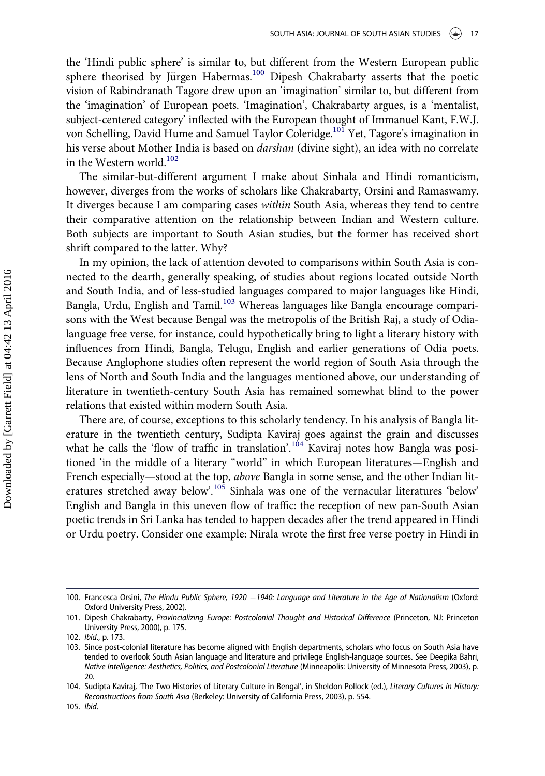the 'Hindi public sphere' is similar to, but different from the Western European public sphere theorised by Jürgen Habermas.<sup>[100](#page-17-0)</sup> Dipesh Chakrabarty asserts that the poetic vision of Rabindranath Tagore drew upon an 'imagination' similar to, but different from the 'imagination' of European poets. 'Imagination', Chakrabarty argues, is a 'mentalist, subject-centered category' inflected with the European thought of Immanuel Kant, F.W.J. von Schelling, David Hume and Samuel Taylor Coleridge.<sup>101</sup> Yet, Tagore's imagination in his verse about Mother India is based on *darshan* (divine sight), an idea with no correlate in the Western world.<sup>102</sup>

The similar-but-different argument I make about Sinhala and Hindi romanticism, however, diverges from the works of scholars like Chakrabarty, Orsini and Ramaswamy. It diverges because I am comparing cases within South Asia, whereas they tend to centre their comparative attention on the relationship between Indian and Western culture. Both subjects are important to South Asian studies, but the former has received short shrift compared to the latter. Why?

In my opinion, the lack of attention devoted to comparisons within South Asia is connected to the dearth, generally speaking, of studies about regions located outside North and South India, and of less-studied languages compared to major languages like Hindi, Bangla, Urdu, English and Tamil.<sup>[103](#page-17-3)</sup> Whereas languages like Bangla encourage comparisons with the West because Bengal was the metropolis of the British Raj, a study of Odialanguage free verse, for instance, could hypothetically bring to light a literary history with influences from Hindi, Bangla, Telugu, English and earlier generations of Odia poets. Because Anglophone studies often represent the world region of South Asia through the lens of North and South India and the languages mentioned above, our understanding of literature in twentieth-century South Asia has remained somewhat blind to the power relations that existed within modern South Asia.

There are, of course, exceptions to this scholarly tendency. In his analysis of Bangla literature in the twentieth century, Sudipta Kaviraj goes against the grain and discusses what he calls the 'flow of traffic in translation'.<sup>[104](#page-17-4)</sup> Kaviraj notes how Bangla was positioned 'in the middle of a literary "world" in which European literatures—English and French especially—stood at the top, above Bangla in some sense, and the other Indian lit-eratures stretched away below'.<sup>[105](#page-17-5)</sup> Sinhala was one of the vernacular literatures 'below' English and Bangla in this uneven flow of traffic: the reception of new pan-South Asian poetic trends in Sri Lanka has tended to happen decades after the trend appeared in Hindi or Urdu poetry. Consider one example: Nirala wrote the first free verse poetry in Hindi in

<span id="page-17-0"></span><sup>100.</sup> Francesca Orsini, The Hindu Public Sphere, 1920 -1940: Language and Literature in the Age of Nationalism (Oxford: Oxford University Press, 2002).

<span id="page-17-1"></span><sup>101.</sup> Dipesh Chakrabarty, Provincializing Europe: Postcolonial Thought and Historical Difference (Princeton, NJ: Princeton University Press, 2000), p. 175.

<span id="page-17-2"></span><sup>102.</sup> Ibid., p. 173.

<span id="page-17-3"></span><sup>103.</sup> Since post-colonial literature has become aligned with English departments, scholars who focus on South Asia have tended to overlook South Asian language and literature and privilege English-language sources. See Deepika Bahri, Native Intelligence: Aesthetics, Politics, and Postcolonial Literature (Minneapolis: University of Minnesota Press, 2003), p. 20.

<span id="page-17-5"></span><span id="page-17-4"></span><sup>104.</sup> Sudipta Kaviraj, 'The Two Histories of Literary Culture in Bengal', in Sheldon Pollock (ed.), Literary Cultures in History: Reconstructions from South Asia (Berkeley: University of California Press, 2003), p. 554.